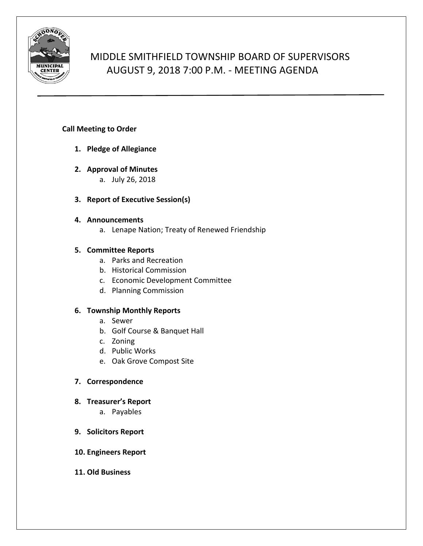

# MIDDLE SMITHFIELD TOWNSHIP BOARD OF SUPERVISORS AUGUST 9, 2018 7:00 P.M. - MEETING AGENDA

# **Call Meeting to Order**

- **1. Pledge of Allegiance**
- **2. Approval of Minutes**
	- a. July 26, 2018
- **3. Report of Executive Session(s)**

## **4. Announcements**

a. Lenape Nation; Treaty of Renewed Friendship

# **5. Committee Reports**

- a. Parks and Recreation
- b. Historical Commission
- c. Economic Development Committee
- d. Planning Commission

# **6. Township Monthly Reports**

- a. Sewer
- b. Golf Course & Banquet Hall
- c. Zoning
- d. Public Works
- e. Oak Grove Compost Site

# **7. Correspondence**

## **8. Treasurer's Report**

a. Payables

## **9. Solicitors Report**

## **10. Engineers Report**

**11. Old Business**